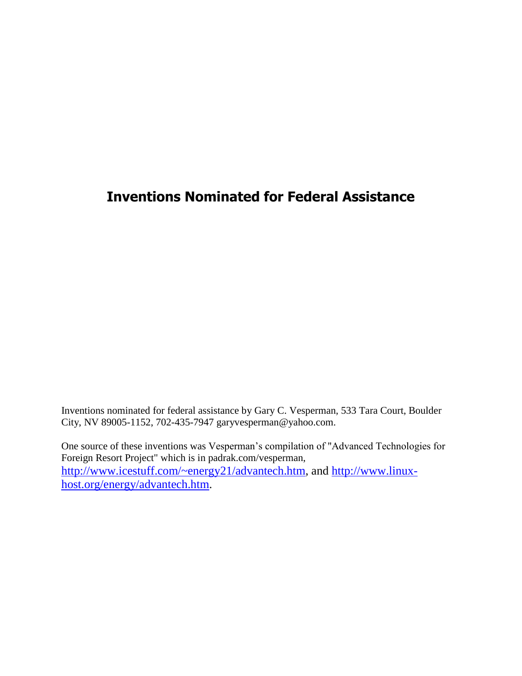## **Inventions Nominated for Federal Assistance**

Inventions nominated for federal assistance by Gary C. Vesperman, 533 Tara Court, Boulder City, NV 89005-1152, 702-435-7947 garyvesperman@yahoo.com.

One source of these inventions was Vesperman's compilation of "Advanced Technologies for Foreign Resort Project" which is in padrak.com/vesperman, [http://www.icestuff.com/~energy21/advantech.htm,](http://www.icestuff.com/~energy21/advantech.htm) and [http://www.linux](http://www.linux-host.org/energy/advantech.htm)[host.org/energy/advantech.htm.](http://www.linux-host.org/energy/advantech.htm)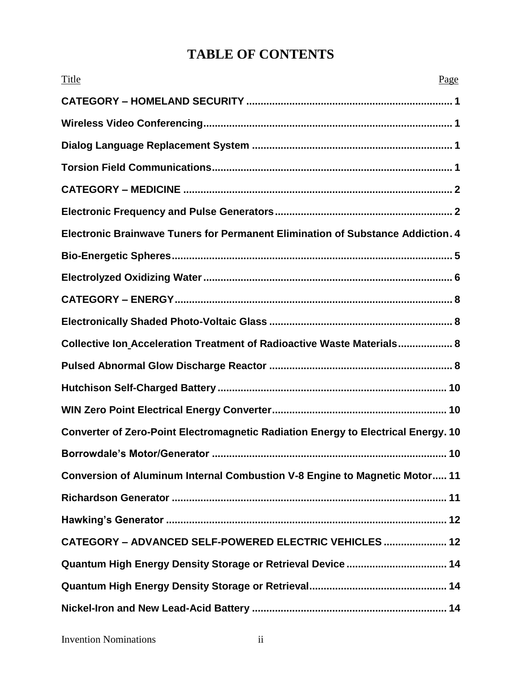# **TABLE OF CONTENTS**

| Title<br>Page                                                                     |
|-----------------------------------------------------------------------------------|
|                                                                                   |
|                                                                                   |
|                                                                                   |
|                                                                                   |
|                                                                                   |
|                                                                                   |
| Electronic Brainwave Tuners for Permanent Elimination of Substance Addiction. 4   |
|                                                                                   |
|                                                                                   |
|                                                                                   |
|                                                                                   |
| Collective Ion_Acceleration Treatment of Radioactive Waste Materials 8            |
|                                                                                   |
|                                                                                   |
|                                                                                   |
| Converter of Zero-Point Electromagnetic Radiation Energy to Electrical Energy. 10 |
| 10                                                                                |
| Conversion of Aluminum Internal Combustion V-8 Engine to Magnetic Motor 11        |
|                                                                                   |
|                                                                                   |
| CATEGORY - ADVANCED SELF-POWERED ELECTRIC VEHICLES  12                            |
| Quantum High Energy Density Storage or Retrieval Device  14                       |
|                                                                                   |
|                                                                                   |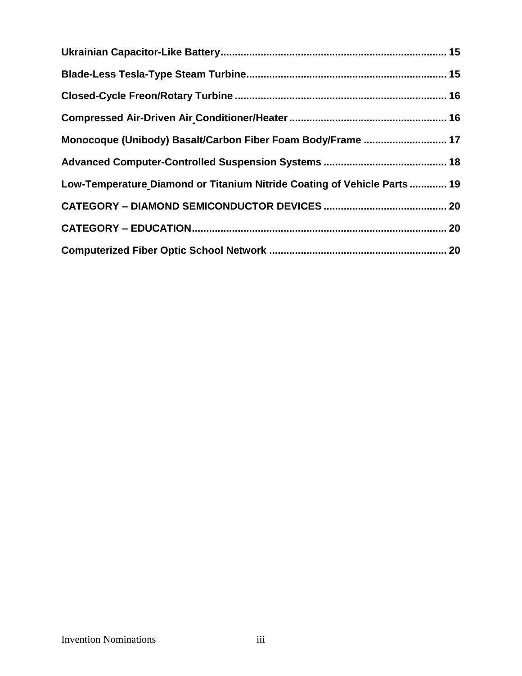| Monocoque (Unibody) Basalt/Carbon Fiber Foam Body/Frame  17             |  |
|-------------------------------------------------------------------------|--|
|                                                                         |  |
| Low-Temperature Diamond or Titanium Nitride Coating of Vehicle Parts 19 |  |
|                                                                         |  |
|                                                                         |  |
|                                                                         |  |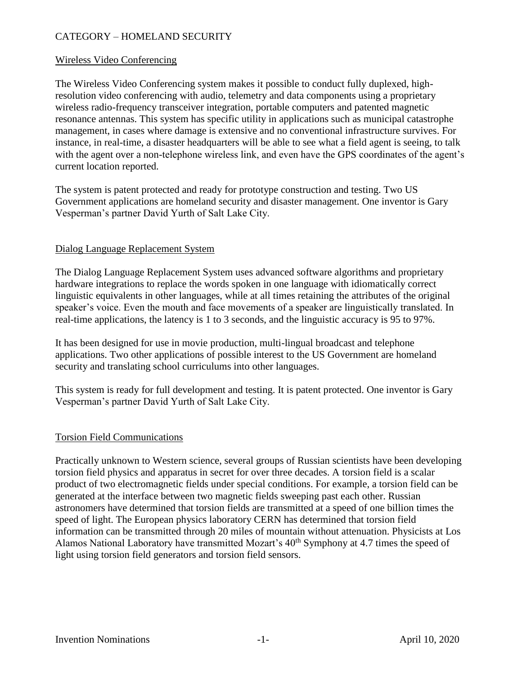## CATEGORY – HOMELAND SECURITY

#### Wireless Video Conferencing

The Wireless Video Conferencing system makes it possible to conduct fully duplexed, highresolution video conferencing with audio, telemetry and data components using a proprietary wireless radio-frequency transceiver integration, portable computers and patented magnetic resonance antennas. This system has specific utility in applications such as municipal catastrophe management, in cases where damage is extensive and no conventional infrastructure survives. For instance, in real-time, a disaster headquarters will be able to see what a field agent is seeing, to talk with the agent over a non-telephone wireless link, and even have the GPS coordinates of the agent's current location reported.

The system is patent protected and ready for prototype construction and testing. Two US Government applications are homeland security and disaster management. One inventor is Gary Vesperman's partner David Yurth of Salt Lake City.

#### Dialog Language Replacement System

The Dialog Language Replacement System uses advanced software algorithms and proprietary hardware integrations to replace the words spoken in one language with idiomatically correct linguistic equivalents in other languages, while at all times retaining the attributes of the original speaker's voice. Even the mouth and face movements of a speaker are linguistically translated. In real-time applications, the latency is 1 to 3 seconds, and the linguistic accuracy is 95 to 97%.

It has been designed for use in movie production, multi-lingual broadcast and telephone applications. Two other applications of possible interest to the US Government are homeland security and translating school curriculums into other languages.

This system is ready for full development and testing. It is patent protected. One inventor is Gary Vesperman's partner David Yurth of Salt Lake City.

## Torsion Field Communications

Practically unknown to Western science, several groups of Russian scientists have been developing torsion field physics and apparatus in secret for over three decades. A torsion field is a scalar product of two electromagnetic fields under special conditions. For example, a torsion field can be generated at the interface between two magnetic fields sweeping past each other. Russian astronomers have determined that torsion fields are transmitted at a speed of one billion times the speed of light. The European physics laboratory CERN has determined that torsion field information can be transmitted through 20 miles of mountain without attenuation. Physicists at Los Alamos National Laboratory have transmitted Mozart's 40<sup>th</sup> Symphony at 4.7 times the speed of light using torsion field generators and torsion field sensors.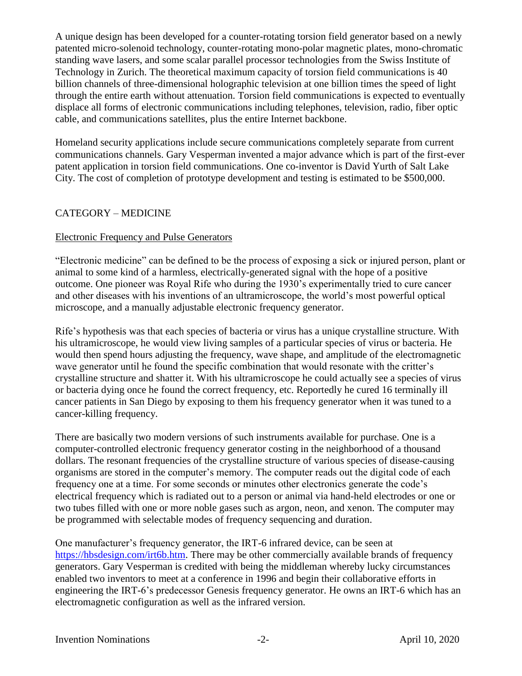A unique design has been developed for a counter-rotating torsion field generator based on a newly patented micro-solenoid technology, counter-rotating mono-polar magnetic plates, mono-chromatic standing wave lasers, and some scalar parallel processor technologies from the Swiss Institute of Technology in Zurich. The theoretical maximum capacity of torsion field communications is 40 billion channels of three-dimensional holographic television at one billion times the speed of light through the entire earth without attenuation. Torsion field communications is expected to eventually displace all forms of electronic communications including telephones, television, radio, fiber optic cable, and communications satellites, plus the entire Internet backbone.

Homeland security applications include secure communications completely separate from current communications channels. Gary Vesperman invented a major advance which is part of the first-ever patent application in torsion field communications. One co-inventor is David Yurth of Salt Lake City. The cost of completion of prototype development and testing is estimated to be \$500,000.

## CATEGORY – MEDICINE

## Electronic Frequency and Pulse Generators

"Electronic medicine" can be defined to be the process of exposing a sick or injured person, plant or animal to some kind of a harmless, electrically-generated signal with the hope of a positive outcome. One pioneer was Royal Rife who during the 1930's experimentally tried to cure cancer and other diseases with his inventions of an ultramicroscope, the world's most powerful optical microscope, and a manually adjustable electronic frequency generator.

Rife's hypothesis was that each species of bacteria or virus has a unique crystalline structure. With his ultramicroscope, he would view living samples of a particular species of virus or bacteria. He would then spend hours adjusting the frequency, wave shape, and amplitude of the electromagnetic wave generator until he found the specific combination that would resonate with the critter's crystalline structure and shatter it. With his ultramicroscope he could actually see a species of virus or bacteria dying once he found the correct frequency, etc. Reportedly he cured 16 terminally ill cancer patients in San Diego by exposing to them his frequency generator when it was tuned to a cancer-killing frequency.

There are basically two modern versions of such instruments available for purchase. One is a computer-controlled electronic frequency generator costing in the neighborhood of a thousand dollars. The resonant frequencies of the crystalline structure of various species of disease-causing organisms are stored in the computer's memory. The computer reads out the digital code of each frequency one at a time. For some seconds or minutes other electronics generate the code's electrical frequency which is radiated out to a person or animal via hand-held electrodes or one or two tubes filled with one or more noble gases such as argon, neon, and xenon. The computer may be programmed with selectable modes of frequency sequencing and duration.

One manufacturer's frequency generator, the IRT-6 infrared device, can be seen at [https://hbsdesign.com/irt6b.htm.](https://hbsdesign.com/irt6b.htm) There may be other commercially available brands of frequency generators. Gary Vesperman is credited with being the middleman whereby lucky circumstances enabled two inventors to meet at a conference in 1996 and begin their collaborative efforts in engineering the IRT-6's predecessor Genesis frequency generator. He owns an IRT-6 which has an electromagnetic configuration as well as the infrared version.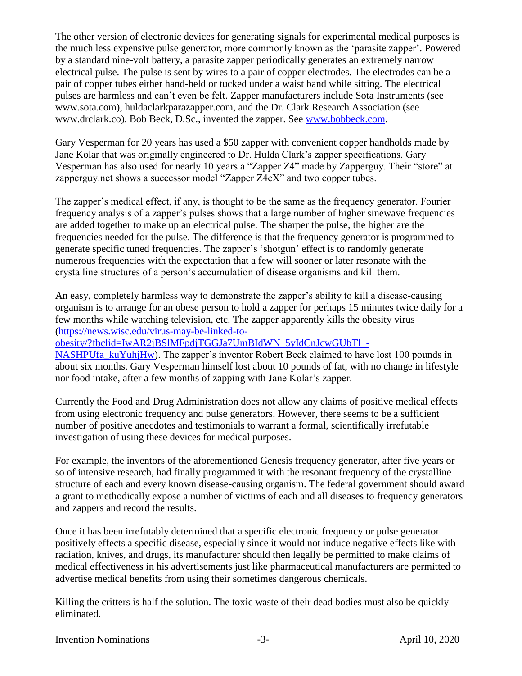The other version of electronic devices for generating signals for experimental medical purposes is the much less expensive pulse generator, more commonly known as the 'parasite zapper'. Powered by a standard nine-volt battery, a parasite zapper periodically generates an extremely narrow electrical pulse. The pulse is sent by wires to a pair of copper electrodes. The electrodes can be a pair of copper tubes either hand-held or tucked under a waist band while sitting. The electrical pulses are harmless and can't even be felt. Zapper manufacturers include Sota Instruments (see www.sota.com), huldaclarkparazapper.com, and the Dr. Clark Research Association (see www.drclark.co). Bob Beck, D.Sc., invented the zapper. See [www.bobbeck.com.](http://www.bobbeck.com/)

Gary Vesperman for 20 years has used a \$50 zapper with convenient copper handholds made by Jane Kolar that was originally engineered to Dr. Hulda Clark's zapper specifications. Gary Vesperman has also used for nearly 10 years a "Zapper Z4" made by Zapperguy. Their "store" at zapperguy.net shows a successor model "Zapper Z4eX" and two copper tubes.

The zapper's medical effect, if any, is thought to be the same as the frequency generator. Fourier frequency analysis of a zapper's pulses shows that a large number of higher sinewave frequencies are added together to make up an electrical pulse. The sharper the pulse, the higher are the frequencies needed for the pulse. The difference is that the frequency generator is programmed to generate specific tuned frequencies. The zapper's 'shotgun' effect is to randomly generate numerous frequencies with the expectation that a few will sooner or later resonate with the crystalline structures of a person's accumulation of disease organisms and kill them.

An easy, completely harmless way to demonstrate the zapper's ability to kill a disease-causing organism is to arrange for an obese person to hold a zapper for perhaps 15 minutes twice daily for a few months while watching television, etc. The zapper apparently kills the obesity virus [\(https://news.wisc.edu/virus-may-be-linked-to-](https://news.wisc.edu/virus-may-be-linked-to-obesity/?fbclid=IwAR2jBSlMFpdjTGGJa7UmBIdWN_5yIdCnJcwGUbTl_-NASHPUfa_kuYuhjHw)

[obesity/?fbclid=IwAR2jBSlMFpdjTGGJa7UmBIdWN\\_5yIdCnJcwGUbTl\\_-](https://news.wisc.edu/virus-may-be-linked-to-obesity/?fbclid=IwAR2jBSlMFpdjTGGJa7UmBIdWN_5yIdCnJcwGUbTl_-NASHPUfa_kuYuhjHw)

NASHPUfa kuYuhjHw). The zapper's inventor Robert Beck claimed to have lost 100 pounds in about six months. Gary Vesperman himself lost about 10 pounds of fat, with no change in lifestyle nor food intake, after a few months of zapping with Jane Kolar's zapper.

Currently the Food and Drug Administration does not allow any claims of positive medical effects from using electronic frequency and pulse generators. However, there seems to be a sufficient number of positive anecdotes and testimonials to warrant a formal, scientifically irrefutable investigation of using these devices for medical purposes.

For example, the inventors of the aforementioned Genesis frequency generator, after five years or so of intensive research, had finally programmed it with the resonant frequency of the crystalline structure of each and every known disease-causing organism. The federal government should award a grant to methodically expose a number of victims of each and all diseases to frequency generators and zappers and record the results.

Once it has been irrefutably determined that a specific electronic frequency or pulse generator positively effects a specific disease, especially since it would not induce negative effects like with radiation, knives, and drugs, its manufacturer should then legally be permitted to make claims of medical effectiveness in his advertisements just like pharmaceutical manufacturers are permitted to advertise medical benefits from using their sometimes dangerous chemicals.

Killing the critters is half the solution. The toxic waste of their dead bodies must also be quickly eliminated.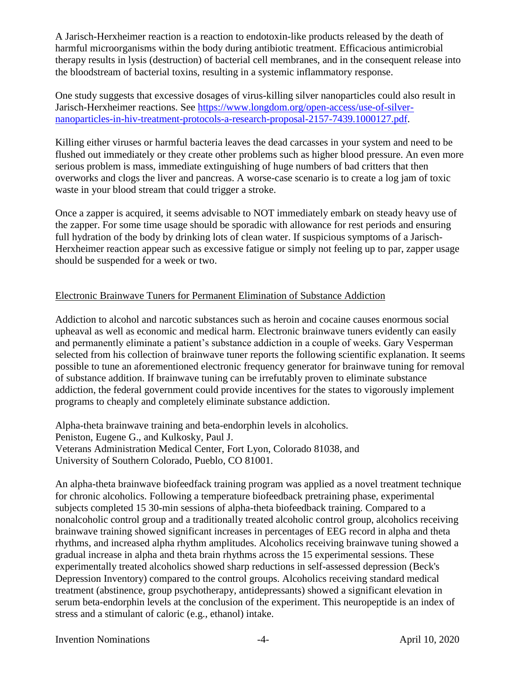A Jarisch-Herxheimer reaction is a reaction to endotoxin-like products released by the death of harmful microorganisms within the body during antibiotic treatment. Efficacious antimicrobial therapy results in lysis (destruction) of bacterial cell membranes, and in the consequent release into the bloodstream of bacterial toxins, resulting in a systemic inflammatory response.

One study suggests that excessive dosages of virus-killing silver nanoparticles could also result in Jarisch-Herxheimer reactions. See [https://www.longdom.org/open-access/use-of-silver](https://www.longdom.org/open-access/use-of-silver-nanoparticles-in-hiv-treatment-protocols-a-research-proposal-2157-7439.1000127.pdf)[nanoparticles-in-hiv-treatment-protocols-a-research-proposal-2157-7439.1000127.pdf.](https://www.longdom.org/open-access/use-of-silver-nanoparticles-in-hiv-treatment-protocols-a-research-proposal-2157-7439.1000127.pdf)

Killing either viruses or harmful bacteria leaves the dead carcasses in your system and need to be flushed out immediately or they create other problems such as higher blood pressure. An even more serious problem is mass, immediate extinguishing of huge numbers of bad critters that then overworks and clogs the liver and pancreas. A worse-case scenario is to create a log jam of toxic waste in your blood stream that could trigger a stroke.

Once a zapper is acquired, it seems advisable to NOT immediately embark on steady heavy use of the zapper. For some time usage should be sporadic with allowance for rest periods and ensuring full hydration of the body by drinking lots of clean water. If suspicious symptoms of a Jarisch-Herxheimer reaction appear such as excessive fatigue or simply not feeling up to par, zapper usage should be suspended for a week or two.

## Electronic Brainwave Tuners for Permanent Elimination of Substance Addiction

Addiction to alcohol and narcotic substances such as heroin and cocaine causes enormous social upheaval as well as economic and medical harm. Electronic brainwave tuners evidently can easily and permanently eliminate a patient's substance addiction in a couple of weeks. Gary Vesperman selected from his collection of brainwave tuner reports the following scientific explanation. It seems possible to tune an aforementioned electronic frequency generator for brainwave tuning for removal of substance addition. If brainwave tuning can be irrefutably proven to eliminate substance addiction, the federal government could provide incentives for the states to vigorously implement programs to cheaply and completely eliminate substance addiction.

Alpha-theta brainwave training and beta-endorphin levels in alcoholics. Peniston, Eugene G., and Kulkosky, Paul J. Veterans Administration Medical Center, Fort Lyon, Colorado 81038, and University of Southern Colorado, Pueblo, CO 81001.

An alpha-theta brainwave biofeedfack training program was applied as a novel treatment technique for chronic alcoholics. Following a temperature biofeedback pretraining phase, experimental subjects completed 15 30-min sessions of alpha-theta biofeedback training. Compared to a nonalcoholic control group and a traditionally treated alcoholic control group, alcoholics receiving brainwave training showed significant increases in percentages of EEG record in alpha and theta rhythms, and increased alpha rhythm amplitudes. Alcoholics receiving brainwave tuning showed a gradual increase in alpha and theta brain rhythms across the 15 experimental sessions. These experimentally treated alcoholics showed sharp reductions in self-assessed depression (Beck's Depression Inventory) compared to the control groups. Alcoholics receiving standard medical treatment (abstinence, group psychotherapy, antidepressants) showed a significant elevation in serum beta-endorphin levels at the conclusion of the experiment. This neuropeptide is an index of stress and a stimulant of caloric (e.g., ethanol) intake.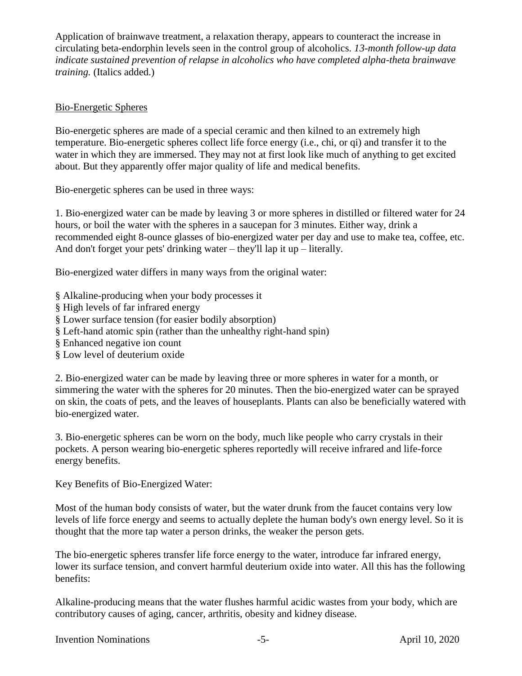Application of brainwave treatment, a relaxation therapy, appears to counteract the increase in circulating beta-endorphin levels seen in the control group of alcoholics. *13-month follow-up data indicate sustained prevention of relapse in alcoholics who have completed alpha-theta brainwave training.* (Italics added.)

## Bio-Energetic Spheres

Bio-energetic spheres are made of a special ceramic and then kilned to an extremely high temperature. Bio-energetic spheres collect life force energy (i.e., chi, or qi) and transfer it to the water in which they are immersed. They may not at first look like much of anything to get excited about. But they apparently offer major quality of life and medical benefits.

Bio-energetic spheres can be used in three ways:

1. Bio-energized water can be made by leaving 3 or more spheres in distilled or filtered water for 24 hours, or boil the water with the spheres in a saucepan for 3 minutes. Either way, drink a recommended eight 8-ounce glasses of bio-energized water per day and use to make tea, coffee, etc. And don't forget your pets' drinking water – they'll lap it up – literally.

Bio-energized water differs in many ways from the original water:

- § Alkaline-producing when your body processes it
- § High levels of far infrared energy
- § Lower surface tension (for easier bodily absorption)
- § Left-hand atomic spin (rather than the unhealthy right-hand spin)
- § Enhanced negative ion count
- § Low level of deuterium oxide

2. Bio-energized water can be made by leaving three or more spheres in water for a month, or simmering the water with the spheres for 20 minutes. Then the bio-energized water can be sprayed on skin, the coats of pets, and the leaves of houseplants. Plants can also be beneficially watered with bio-energized water.

3. Bio-energetic spheres can be worn on the body, much like people who carry crystals in their pockets. A person wearing bio-energetic spheres reportedly will receive infrared and life-force energy benefits.

Key Benefits of Bio-Energized Water:

Most of the human body consists of water, but the water drunk from the faucet contains very low levels of life force energy and seems to actually deplete the human body's own energy level. So it is thought that the more tap water a person drinks, the weaker the person gets.

The bio-energetic spheres transfer life force energy to the water, introduce far infrared energy, lower its surface tension, and convert harmful deuterium oxide into water. All this has the following benefits:

Alkaline-producing means that the water flushes harmful acidic wastes from your body, which are contributory causes of aging, cancer, arthritis, obesity and kidney disease.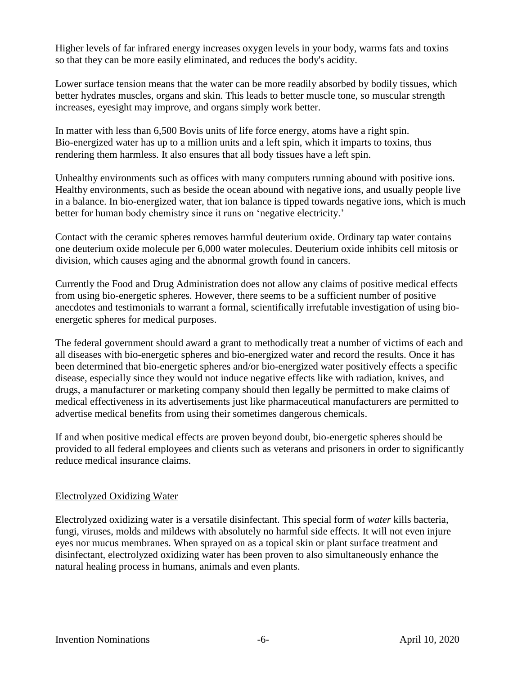Higher levels of far infrared energy increases oxygen levels in your body, warms fats and toxins so that they can be more easily eliminated, and reduces the body's acidity.

Lower surface tension means that the water can be more readily absorbed by bodily tissues, which better hydrates muscles, organs and skin. This leads to better muscle tone, so muscular strength increases, eyesight may improve, and organs simply work better.

In matter with less than 6,500 Bovis units of life force energy, atoms have a right spin. Bio-energized water has up to a million units and a left spin, which it imparts to toxins, thus rendering them harmless. It also ensures that all body tissues have a left spin.

Unhealthy environments such as offices with many computers running abound with positive ions. Healthy environments, such as beside the ocean abound with negative ions, and usually people live in a balance. In bio-energized water, that ion balance is tipped towards negative ions, which is much better for human body chemistry since it runs on 'negative electricity.'

Contact with the ceramic spheres removes harmful deuterium oxide. Ordinary tap water contains one deuterium oxide molecule per 6,000 water molecules. Deuterium oxide inhibits cell mitosis or division, which causes aging and the abnormal growth found in cancers.

Currently the Food and Drug Administration does not allow any claims of positive medical effects from using bio-energetic spheres. However, there seems to be a sufficient number of positive anecdotes and testimonials to warrant a formal, scientifically irrefutable investigation of using bioenergetic spheres for medical purposes.

The federal government should award a grant to methodically treat a number of victims of each and all diseases with bio-energetic spheres and bio-energized water and record the results. Once it has been determined that bio-energetic spheres and/or bio-energized water positively effects a specific disease, especially since they would not induce negative effects like with radiation, knives, and drugs, a manufacturer or marketing company should then legally be permitted to make claims of medical effectiveness in its advertisements just like pharmaceutical manufacturers are permitted to advertise medical benefits from using their sometimes dangerous chemicals.

If and when positive medical effects are proven beyond doubt, bio-energetic spheres should be provided to all federal employees and clients such as veterans and prisoners in order to significantly reduce medical insurance claims.

## Electrolyzed Oxidizing Water

Electrolyzed oxidizing water is a versatile disinfectant. This special form of *water* kills bacteria, fungi, viruses, molds and mildews with absolutely no harmful side effects. It will not even injure eyes nor mucus membranes. When sprayed on as a topical skin or plant surface treatment and disinfectant, electrolyzed oxidizing water has been proven to also simultaneously enhance the natural healing process in humans, animals and even plants.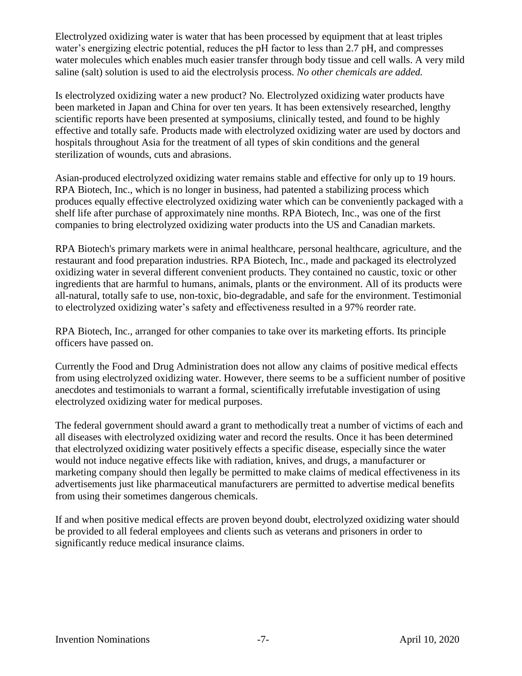Electrolyzed oxidizing water is water that has been processed by equipment that at least triples water's energizing electric potential, reduces the pH factor to less than 2.7 pH, and compresses water molecules which enables much easier transfer through body tissue and cell walls. A very mild saline (salt) solution is used to aid the electrolysis process. *No other chemicals are added.* 

Is electrolyzed oxidizing water a new product? No. Electrolyzed oxidizing water products have been marketed in Japan and China for over ten years. It has been extensively researched, lengthy scientific reports have been presented at symposiums, clinically tested, and found to be highly effective and totally safe. Products made with electrolyzed oxidizing water are used by doctors and hospitals throughout Asia for the treatment of all types of skin conditions and the general sterilization of wounds, cuts and abrasions.

Asian-produced electrolyzed oxidizing water remains stable and effective for only up to 19 hours. RPA Biotech, Inc., which is no longer in business, had patented a stabilizing process which produces equally effective electrolyzed oxidizing water which can be conveniently packaged with a shelf life after purchase of approximately nine months. RPA Biotech, Inc., was one of the first companies to bring electrolyzed oxidizing water products into the US and Canadian markets.

RPA Biotech's primary markets were in animal healthcare, personal healthcare, agriculture, and the restaurant and food preparation industries. RPA Biotech, Inc., made and packaged its electrolyzed oxidizing water in several different convenient products. They contained no caustic, toxic or other ingredients that are harmful to humans, animals, plants or the environment. All of its products were all-natural, totally safe to use, non-toxic, bio-degradable, and safe for the environment. Testimonial to electrolyzed oxidizing water's safety and effectiveness resulted in a 97% reorder rate.

RPA Biotech, Inc., arranged for other companies to take over its marketing efforts. Its principle officers have passed on.

Currently the Food and Drug Administration does not allow any claims of positive medical effects from using electrolyzed oxidizing water. However, there seems to be a sufficient number of positive anecdotes and testimonials to warrant a formal, scientifically irrefutable investigation of using electrolyzed oxidizing water for medical purposes.

The federal government should award a grant to methodically treat a number of victims of each and all diseases with electrolyzed oxidizing water and record the results. Once it has been determined that electrolyzed oxidizing water positively effects a specific disease, especially since the water would not induce negative effects like with radiation, knives, and drugs, a manufacturer or marketing company should then legally be permitted to make claims of medical effectiveness in its advertisements just like pharmaceutical manufacturers are permitted to advertise medical benefits from using their sometimes dangerous chemicals.

If and when positive medical effects are proven beyond doubt, electrolyzed oxidizing water should be provided to all federal employees and clients such as veterans and prisoners in order to significantly reduce medical insurance claims.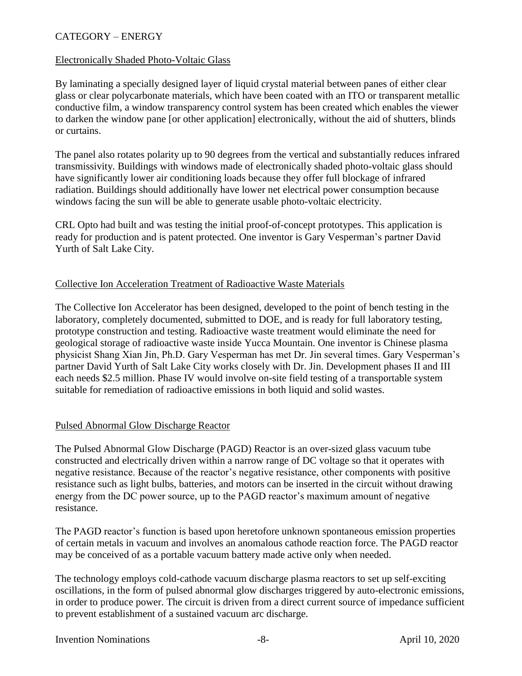## CATEGORY – ENERGY

#### Electronically Shaded Photo-Voltaic Glass

By laminating a specially designed layer of liquid crystal material between panes of either clear glass or clear polycarbonate materials, which have been coated with an ITO or transparent metallic conductive film, a window transparency control system has been created which enables the viewer to darken the window pane [or other application] electronically, without the aid of shutters, blinds or curtains.

The panel also rotates polarity up to 90 degrees from the vertical and substantially reduces infrared transmissivity. Buildings with windows made of electronically shaded photo-voltaic glass should have significantly lower air conditioning loads because they offer full blockage of infrared radiation. Buildings should additionally have lower net electrical power consumption because windows facing the sun will be able to generate usable photo-voltaic electricity.

CRL Opto had built and was testing the initial proof-of-concept prototypes. This application is ready for production and is patent protected. One inventor is Gary Vesperman's partner David Yurth of Salt Lake City.

## Collective Ion Acceleration Treatment of Radioactive Waste Materials

The Collective Ion Accelerator has been designed, developed to the point of bench testing in the laboratory, completely documented, submitted to DOE, and is ready for full laboratory testing, prototype construction and testing. Radioactive waste treatment would eliminate the need for geological storage of radioactive waste inside Yucca Mountain. One inventor is Chinese plasma physicist Shang Xian Jin, Ph.D. Gary Vesperman has met Dr. Jin several times. Gary Vesperman's partner David Yurth of Salt Lake City works closely with Dr. Jin. Development phases II and III each needs \$2.5 million. Phase IV would involve on-site field testing of a transportable system suitable for remediation of radioactive emissions in both liquid and solid wastes.

#### Pulsed Abnormal Glow Discharge Reactor

The Pulsed Abnormal Glow Discharge (PAGD) Reactor is an over-sized glass vacuum tube constructed and electrically driven within a narrow range of DC voltage so that it operates with negative resistance. Because of the reactor's negative resistance, other components with positive resistance such as light bulbs, batteries, and motors can be inserted in the circuit without drawing energy from the DC power source, up to the PAGD reactor's maximum amount of negative resistance.

The PAGD reactor's function is based upon heretofore unknown spontaneous emission properties of certain metals in vacuum and involves an anomalous cathode reaction force. The PAGD reactor may be conceived of as a portable vacuum battery made active only when needed.

The technology employs cold-cathode vacuum discharge plasma reactors to set up self-exciting oscillations, in the form of pulsed abnormal glow discharges triggered by auto-electronic emissions, in order to produce power. The circuit is driven from a direct current source of impedance sufficient to prevent establishment of a sustained vacuum arc discharge.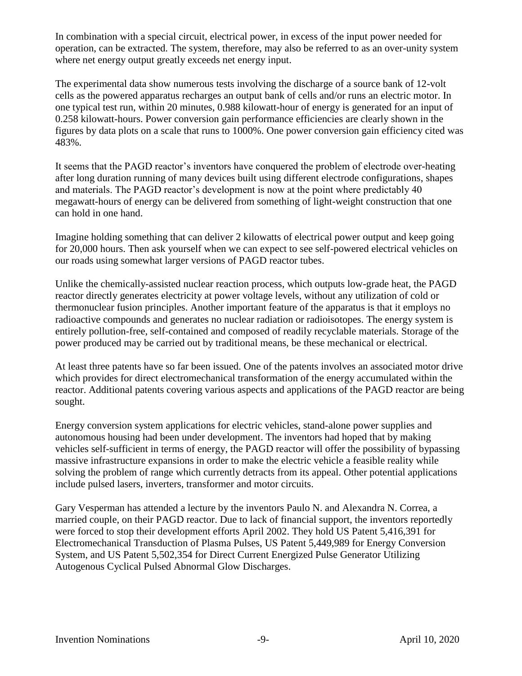In combination with a special circuit, electrical power, in excess of the input power needed for operation, can be extracted. The system, therefore, may also be referred to as an over-unity system where net energy output greatly exceeds net energy input.

The experimental data show numerous tests involving the discharge of a source bank of 12-volt cells as the powered apparatus recharges an output bank of cells and/or runs an electric motor. In one typical test run, within 20 minutes, 0.988 kilowatt-hour of energy is generated for an input of 0.258 kilowatt-hours. Power conversion gain performance efficiencies are clearly shown in the figures by data plots on a scale that runs to 1000%. One power conversion gain efficiency cited was 483%.

It seems that the PAGD reactor's inventors have conquered the problem of electrode over-heating after long duration running of many devices built using different electrode configurations, shapes and materials. The PAGD reactor's development is now at the point where predictably 40 megawatt-hours of energy can be delivered from something of light-weight construction that one can hold in one hand.

Imagine holding something that can deliver 2 kilowatts of electrical power output and keep going for 20,000 hours. Then ask yourself when we can expect to see self-powered electrical vehicles on our roads using somewhat larger versions of PAGD reactor tubes.

Unlike the chemically-assisted nuclear reaction process, which outputs low-grade heat, the PAGD reactor directly generates electricity at power voltage levels, without any utilization of cold or thermonuclear fusion principles. Another important feature of the apparatus is that it employs no radioactive compounds and generates no nuclear radiation or radioisotopes. The energy system is entirely pollution-free, self-contained and composed of readily recyclable materials. Storage of the power produced may be carried out by traditional means, be these mechanical or electrical.

At least three patents have so far been issued. One of the patents involves an associated motor drive which provides for direct electromechanical transformation of the energy accumulated within the reactor. Additional patents covering various aspects and applications of the PAGD reactor are being sought.

Energy conversion system applications for electric vehicles, stand-alone power supplies and autonomous housing had been under development. The inventors had hoped that by making vehicles self-sufficient in terms of energy, the PAGD reactor will offer the possibility of bypassing massive infrastructure expansions in order to make the electric vehicle a feasible reality while solving the problem of range which currently detracts from its appeal. Other potential applications include pulsed lasers, inverters, transformer and motor circuits.

Gary Vesperman has attended a lecture by the inventors Paulo N. and Alexandra N. Correa, a married couple, on their PAGD reactor. Due to lack of financial support, the inventors reportedly were forced to stop their development efforts April 2002. They hold US Patent 5,416,391 for Electromechanical Transduction of Plasma Pulses, US Patent 5,449,989 for Energy Conversion System, and US Patent 5,502,354 for Direct Current Energized Pulse Generator Utilizing Autogenous Cyclical Pulsed Abnormal Glow Discharges.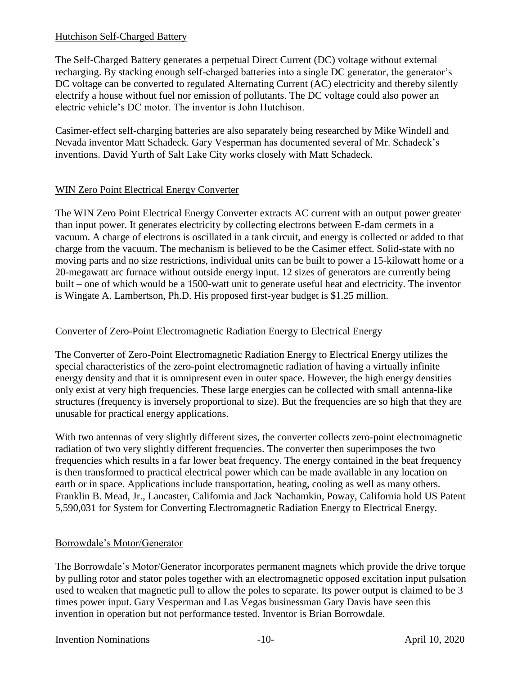#### Hutchison Self-Charged Battery

The Self-Charged Battery generates a perpetual Direct Current (DC) voltage without external recharging. By stacking enough self-charged batteries into a single DC generator, the generator's DC voltage can be converted to regulated Alternating Current (AC) electricity and thereby silently electrify a house without fuel nor emission of pollutants. The DC voltage could also power an electric vehicle's DC motor. The inventor is John Hutchison.

Casimer-effect self-charging batteries are also separately being researched by Mike Windell and Nevada inventor Matt Schadeck. Gary Vesperman has documented several of Mr. Schadeck's inventions. David Yurth of Salt Lake City works closely with Matt Schadeck.

## WIN Zero Point Electrical Energy Converter

The WIN Zero Point Electrical Energy Converter extracts AC current with an output power greater than input power. It generates electricity by collecting electrons between E-dam cermets in a vacuum. A charge of electrons is oscillated in a tank circuit, and energy is collected or added to that charge from the vacuum. The mechanism is believed to be the Casimer effect. Solid-state with no moving parts and no size restrictions, individual units can be built to power a 15-kilowatt home or a 20-megawatt arc furnace without outside energy input. 12 sizes of generators are currently being built – one of which would be a 1500-watt unit to generate useful heat and electricity. The inventor is Wingate A. Lambertson, Ph.D. His proposed first-year budget is \$1.25 million.

## Converter of Zero-Point Electromagnetic Radiation Energy to Electrical Energy

The Converter of Zero-Point Electromagnetic Radiation Energy to Electrical Energy utilizes the special characteristics of the zero-point electromagnetic radiation of having a virtually infinite energy density and that it is omnipresent even in outer space. However, the high energy densities only exist at very high frequencies. These large energies can be collected with small antenna-like structures (frequency is inversely proportional to size). But the frequencies are so high that they are unusable for practical energy applications.

With two antennas of very slightly different sizes, the converter collects zero-point electromagnetic radiation of two very slightly different frequencies. The converter then superimposes the two frequencies which results in a far lower beat frequency. The energy contained in the beat frequency is then transformed to practical electrical power which can be made available in any location on earth or in space. Applications include transportation, heating, cooling as well as many others. Franklin B. Mead, Jr., Lancaster, California and Jack Nachamkin, Poway, California hold US Patent 5,590,031 for System for Converting Electromagnetic Radiation Energy to Electrical Energy.

## Borrowdale's Motor/Generator

The Borrowdale's Motor/Generator incorporates permanent magnets which provide the drive torque by pulling rotor and stator poles together with an electromagnetic opposed excitation input pulsation used to weaken that magnetic pull to allow the poles to separate. Its power output is claimed to be 3 times power input. Gary Vesperman and Las Vegas businessman Gary Davis have seen this invention in operation but not performance tested. Inventor is Brian Borrowdale.

#### Invention Nominations -10- April 10, 2020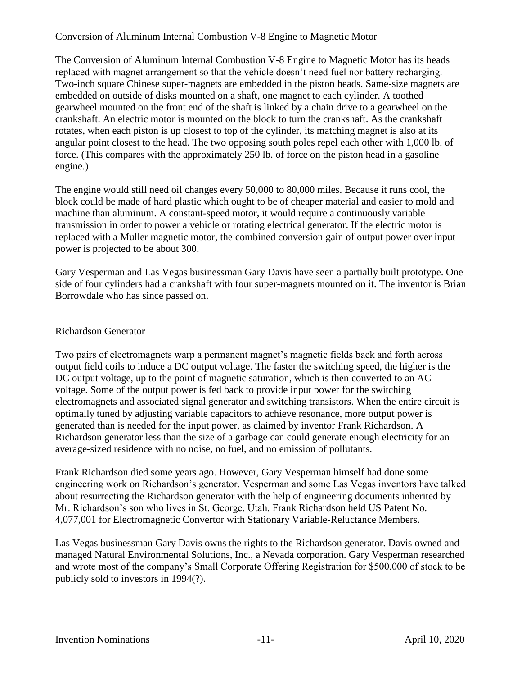## Conversion of Aluminum Internal Combustion V-8 Engine to Magnetic Motor

The Conversion of Aluminum Internal Combustion V-8 Engine to Magnetic Motor has its heads replaced with magnet arrangement so that the vehicle doesn't need fuel nor battery recharging. Two-inch square Chinese super-magnets are embedded in the piston heads. Same-size magnets are embedded on outside of disks mounted on a shaft, one magnet to each cylinder. A toothed gearwheel mounted on the front end of the shaft is linked by a chain drive to a gearwheel on the crankshaft. An electric motor is mounted on the block to turn the crankshaft. As the crankshaft rotates, when each piston is up closest to top of the cylinder, its matching magnet is also at its angular point closest to the head. The two opposing south poles repel each other with 1,000 lb. of force. (This compares with the approximately 250 lb. of force on the piston head in a gasoline engine.)

The engine would still need oil changes every 50,000 to 80,000 miles. Because it runs cool, the block could be made of hard plastic which ought to be of cheaper material and easier to mold and machine than aluminum. A constant-speed motor, it would require a continuously variable transmission in order to power a vehicle or rotating electrical generator. If the electric motor is replaced with a Muller magnetic motor, the combined conversion gain of output power over input power is projected to be about 300.

Gary Vesperman and Las Vegas businessman Gary Davis have seen a partially built prototype. One side of four cylinders had a crankshaft with four super-magnets mounted on it. The inventor is Brian Borrowdale who has since passed on.

## Richardson Generator

Two pairs of electromagnets warp a permanent magnet's magnetic fields back and forth across output field coils to induce a DC output voltage. The faster the switching speed, the higher is the DC output voltage, up to the point of magnetic saturation, which is then converted to an AC voltage. Some of the output power is fed back to provide input power for the switching electromagnets and associated signal generator and switching transistors. When the entire circuit is optimally tuned by adjusting variable capacitors to achieve resonance, more output power is generated than is needed for the input power, as claimed by inventor Frank Richardson. A Richardson generator less than the size of a garbage can could generate enough electricity for an average-sized residence with no noise, no fuel, and no emission of pollutants.

Frank Richardson died some years ago. However, Gary Vesperman himself had done some engineering work on Richardson's generator. Vesperman and some Las Vegas inventors have talked about resurrecting the Richardson generator with the help of engineering documents inherited by Mr. Richardson's son who lives in St. George, Utah. Frank Richardson held US Patent No. 4,077,001 for Electromagnetic Convertor with Stationary Variable-Reluctance Members.

Las Vegas businessman Gary Davis owns the rights to the Richardson generator. Davis owned and managed Natural Environmental Solutions, Inc., a Nevada corporation. Gary Vesperman researched and wrote most of the company's Small Corporate Offering Registration for \$500,000 of stock to be publicly sold to investors in 1994(?).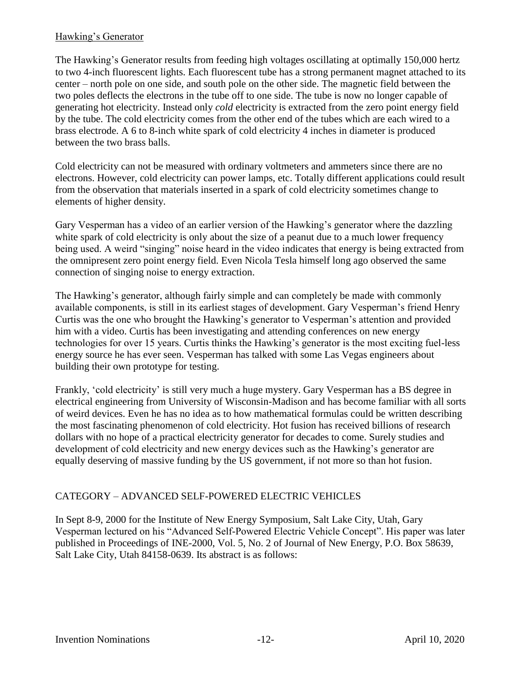## Hawking's Generator

The Hawking's Generator results from feeding high voltages oscillating at optimally 150,000 hertz to two 4-inch fluorescent lights. Each fluorescent tube has a strong permanent magnet attached to its center – north pole on one side, and south pole on the other side. The magnetic field between the two poles deflects the electrons in the tube off to one side. The tube is now no longer capable of generating hot electricity. Instead only *cold* electricity is extracted from the zero point energy field by the tube. The cold electricity comes from the other end of the tubes which are each wired to a brass electrode. A 6 to 8-inch white spark of cold electricity 4 inches in diameter is produced between the two brass balls.

Cold electricity can not be measured with ordinary voltmeters and ammeters since there are no electrons. However, cold electricity can power lamps, etc. Totally different applications could result from the observation that materials inserted in a spark of cold electricity sometimes change to elements of higher density.

Gary Vesperman has a video of an earlier version of the Hawking's generator where the dazzling white spark of cold electricity is only about the size of a peanut due to a much lower frequency being used. A weird "singing" noise heard in the video indicates that energy is being extracted from the omnipresent zero point energy field. Even Nicola Tesla himself long ago observed the same connection of singing noise to energy extraction.

The Hawking's generator, although fairly simple and can completely be made with commonly available components, is still in its earliest stages of development. Gary Vesperman's friend Henry Curtis was the one who brought the Hawking's generator to Vesperman's attention and provided him with a video. Curtis has been investigating and attending conferences on new energy technologies for over 15 years. Curtis thinks the Hawking's generator is the most exciting fuel-less energy source he has ever seen. Vesperman has talked with some Las Vegas engineers about building their own prototype for testing.

Frankly, 'cold electricity' is still very much a huge mystery. Gary Vesperman has a BS degree in electrical engineering from University of Wisconsin-Madison and has become familiar with all sorts of weird devices. Even he has no idea as to how mathematical formulas could be written describing the most fascinating phenomenon of cold electricity. Hot fusion has received billions of research dollars with no hope of a practical electricity generator for decades to come. Surely studies and development of cold electricity and new energy devices such as the Hawking's generator are equally deserving of massive funding by the US government, if not more so than hot fusion.

## CATEGORY – ADVANCED SELF-POWERED ELECTRIC VEHICLES

In Sept 8-9, 2000 for the Institute of New Energy Symposium, Salt Lake City, Utah, Gary Vesperman lectured on his "Advanced Self-Powered Electric Vehicle Concept". His paper was later published in Proceedings of INE-2000, Vol. 5, No. 2 of Journal of New Energy, P.O. Box 58639, Salt Lake City, Utah 84158-0639. Its abstract is as follows: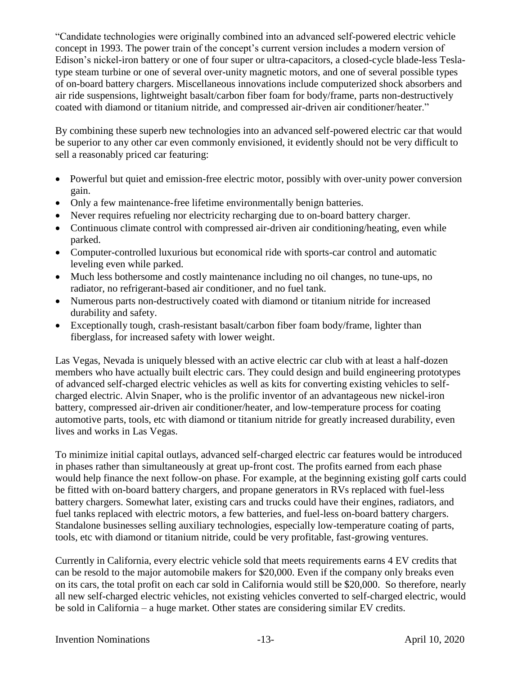"Candidate technologies were originally combined into an advanced self-powered electric vehicle concept in 1993. The power train of the concept's current version includes a modern version of Edison's nickel-iron battery or one of four super or ultra-capacitors, a closed-cycle blade-less Teslatype steam turbine or one of several over-unity magnetic motors, and one of several possible types of on-board battery chargers. Miscellaneous innovations include computerized shock absorbers and air ride suspensions, lightweight basalt/carbon fiber foam for body/frame, parts non-destructively coated with diamond or titanium nitride, and compressed air-driven air conditioner/heater."

By combining these superb new technologies into an advanced self-powered electric car that would be superior to any other car even commonly envisioned, it evidently should not be very difficult to sell a reasonably priced car featuring:

- Powerful but quiet and emission-free electric motor, possibly with over-unity power conversion gain.
- Only a few maintenance-free lifetime environmentally benign batteries.
- Never requires refueling nor electricity recharging due to on-board battery charger.
- Continuous climate control with compressed air-driven air conditioning/heating, even while parked.
- Computer-controlled luxurious but economical ride with sports-car control and automatic leveling even while parked.
- Much less bothersome and costly maintenance including no oil changes, no tune-ups, no radiator, no refrigerant-based air conditioner, and no fuel tank.
- Numerous parts non-destructively coated with diamond or titanium nitride for increased durability and safety.
- Exceptionally tough, crash-resistant basalt/carbon fiber foam body/frame, lighter than fiberglass, for increased safety with lower weight.

Las Vegas, Nevada is uniquely blessed with an active electric car club with at least a half-dozen members who have actually built electric cars. They could design and build engineering prototypes of advanced self-charged electric vehicles as well as kits for converting existing vehicles to selfcharged electric. Alvin Snaper, who is the prolific inventor of an advantageous new nickel-iron battery, compressed air-driven air conditioner/heater, and low-temperature process for coating automotive parts, tools, etc with diamond or titanium nitride for greatly increased durability, even lives and works in Las Vegas.

To minimize initial capital outlays, advanced self-charged electric car features would be introduced in phases rather than simultaneously at great up-front cost. The profits earned from each phase would help finance the next follow-on phase. For example, at the beginning existing golf carts could be fitted with on-board battery chargers, and propane generators in RVs replaced with fuel-less battery chargers. Somewhat later, existing cars and trucks could have their engines, radiators, and fuel tanks replaced with electric motors, a few batteries, and fuel-less on-board battery chargers. Standalone businesses selling auxiliary technologies, especially low-temperature coating of parts, tools, etc with diamond or titanium nitride, could be very profitable, fast-growing ventures.

Currently in California, every electric vehicle sold that meets requirements earns 4 EV credits that can be resold to the major automobile makers for \$20,000. Even if the company only breaks even on its cars, the total profit on each car sold in California would still be \$20,000. So therefore, nearly all new self-charged electric vehicles, not existing vehicles converted to self-charged electric, would be sold in California – a huge market. Other states are considering similar EV credits.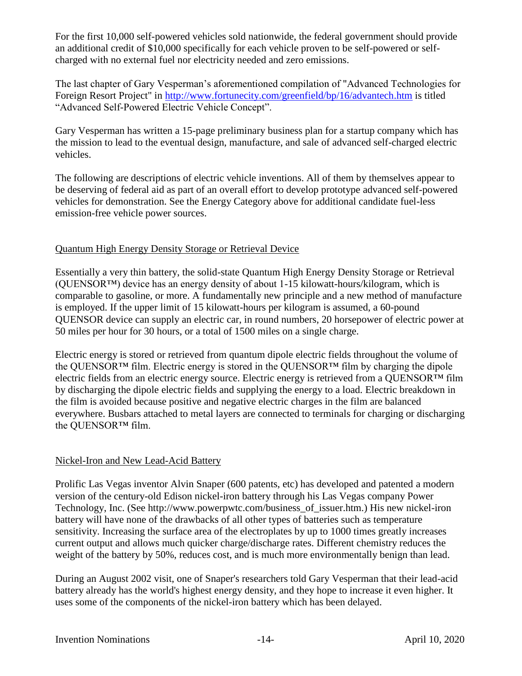For the first 10,000 self-powered vehicles sold nationwide, the federal government should provide an additional credit of \$10,000 specifically for each vehicle proven to be self-powered or selfcharged with no external fuel nor electricity needed and zero emissions.

The last chapter of Gary Vesperman's aforementioned compilation of "Advanced Technologies for Foreign Resort Project" in<http://www.fortunecity.com/greenfield/bp/16/advantech.htm> is titled "Advanced Self-Powered Electric Vehicle Concept".

Gary Vesperman has written a 15-page preliminary business plan for a startup company which has the mission to lead to the eventual design, manufacture, and sale of advanced self-charged electric vehicles.

The following are descriptions of electric vehicle inventions. All of them by themselves appear to be deserving of federal aid as part of an overall effort to develop prototype advanced self-powered vehicles for demonstration. See the Energy Category above for additional candidate fuel-less emission-free vehicle power sources.

## Quantum High Energy Density Storage or Retrieval Device

Essentially a very thin battery, the solid-state Quantum High Energy Density Storage or Retrieval (QUENSOR™) device has an energy density of about 1-15 kilowatt-hours/kilogram, which is comparable to gasoline, or more. A fundamentally new principle and a new method of manufacture is employed. If the upper limit of 15 kilowatt-hours per kilogram is assumed, a 60-pound QUENSOR device can supply an electric car, in round numbers, 20 horsepower of electric power at 50 miles per hour for 30 hours, or a total of 1500 miles on a single charge.

Electric energy is stored or retrieved from quantum dipole electric fields throughout the volume of the QUENSOR™ film. Electric energy is stored in the QUENSOR™ film by charging the dipole electric fields from an electric energy source. Electric energy is retrieved from a QUENSOR™ film by discharging the dipole electric fields and supplying the energy to a load. Electric breakdown in the film is avoided because positive and negative electric charges in the film are balanced everywhere. Busbars attached to metal layers are connected to terminals for charging or discharging the QUENSOR™ film.

## Nickel-Iron and New Lead-Acid Battery

Prolific Las Vegas inventor Alvin Snaper (600 patents, etc) has developed and patented a modern version of the century-old Edison nickel-iron battery through his Las Vegas company Power Technology, Inc. (See http://www.powerpwtc.com/business\_of\_issuer.htm.) His new nickel-iron battery will have none of the drawbacks of all other types of batteries such as temperature sensitivity. Increasing the surface area of the electroplates by up to 1000 times greatly increases current output and allows much quicker charge/discharge rates. Different chemistry reduces the weight of the battery by 50%, reduces cost, and is much more environmentally benign than lead.

During an August 2002 visit, one of Snaper's researchers told Gary Vesperman that their lead-acid battery already has the world's highest energy density, and they hope to increase it even higher. It uses some of the components of the nickel-iron battery which has been delayed.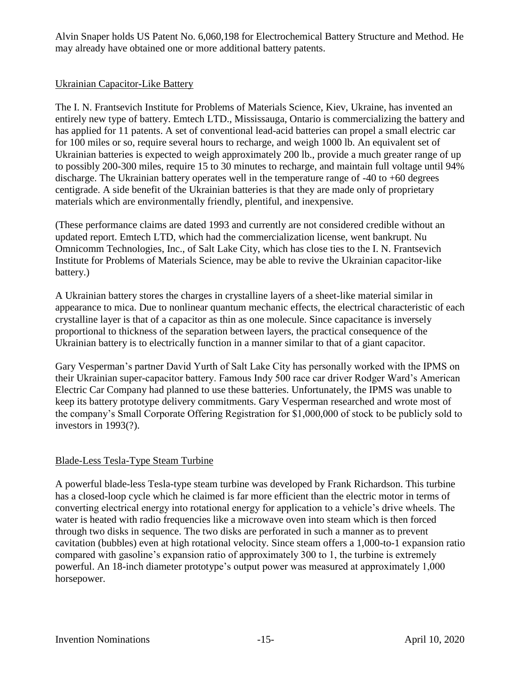Alvin Snaper holds US Patent No. 6,060,198 for Electrochemical Battery Structure and Method. He may already have obtained one or more additional battery patents.

#### Ukrainian Capacitor-Like Battery

The I. N. Frantsevich Institute for Problems of Materials Science, Kiev, Ukraine, has invented an entirely new type of battery. Emtech LTD., Mississauga, Ontario is commercializing the battery and has applied for 11 patents. A set of conventional lead-acid batteries can propel a small electric car for 100 miles or so, require several hours to recharge, and weigh 1000 lb. An equivalent set of Ukrainian batteries is expected to weigh approximately 200 lb., provide a much greater range of up to possibly 200-300 miles, require 15 to 30 minutes to recharge, and maintain full voltage until 94% discharge. The Ukrainian battery operates well in the temperature range of -40 to +60 degrees centigrade. A side benefit of the Ukrainian batteries is that they are made only of proprietary materials which are environmentally friendly, plentiful, and inexpensive.

(These performance claims are dated 1993 and currently are not considered credible without an updated report. Emtech LTD, which had the commercialization license, went bankrupt. Nu Omnicomm Technologies, Inc., of Salt Lake City, which has close ties to the I. N. Frantsevich Institute for Problems of Materials Science, may be able to revive the Ukrainian capacitor-like battery.)

A Ukrainian battery stores the charges in crystalline layers of a sheet-like material similar in appearance to mica. Due to nonlinear quantum mechanic effects, the electrical characteristic of each crystalline layer is that of a capacitor as thin as one molecule. Since capacitance is inversely proportional to thickness of the separation between layers, the practical consequence of the Ukrainian battery is to electrically function in a manner similar to that of a giant capacitor.

Gary Vesperman's partner David Yurth of Salt Lake City has personally worked with the IPMS on their Ukrainian super-capacitor battery. Famous Indy 500 race car driver Rodger Ward's American Electric Car Company had planned to use these batteries. Unfortunately, the IPMS was unable to keep its battery prototype delivery commitments. Gary Vesperman researched and wrote most of the company's Small Corporate Offering Registration for \$1,000,000 of stock to be publicly sold to investors in 1993(?).

## Blade-Less Tesla-Type Steam Turbine

A powerful blade-less Tesla-type steam turbine was developed by Frank Richardson. This turbine has a closed-loop cycle which he claimed is far more efficient than the electric motor in terms of converting electrical energy into rotational energy for application to a vehicle's drive wheels. The water is heated with radio frequencies like a microwave oven into steam which is then forced through two disks in sequence. The two disks are perforated in such a manner as to prevent cavitation (bubbles) even at high rotational velocity. Since steam offers a 1,000-to-1 expansion ratio compared with gasoline's expansion ratio of approximately 300 to 1, the turbine is extremely powerful. An 18-inch diameter prototype's output power was measured at approximately 1,000 horsepower.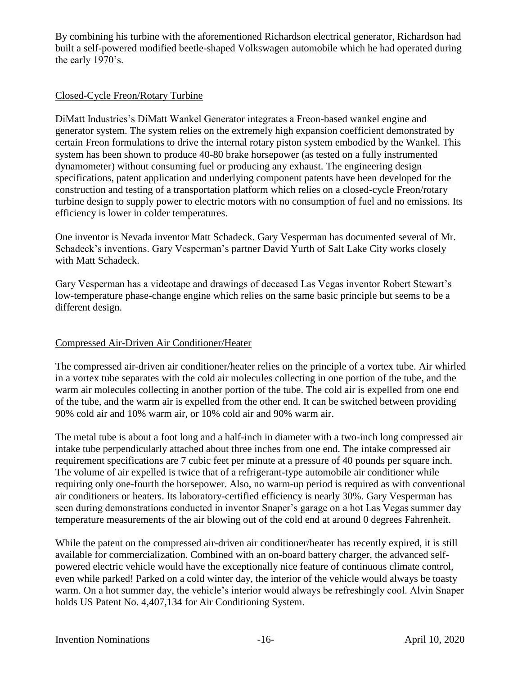By combining his turbine with the aforementioned Richardson electrical generator, Richardson had built a self-powered modified beetle-shaped Volkswagen automobile which he had operated during the early 1970's.

## Closed-Cycle Freon/Rotary Turbine

DiMatt Industries's DiMatt Wankel Generator integrates a Freon-based wankel engine and generator system. The system relies on the extremely high expansion coefficient demonstrated by certain Freon formulations to drive the internal rotary piston system embodied by the Wankel. This system has been shown to produce 40-80 brake horsepower (as tested on a fully instrumented dynamometer) without consuming fuel or producing any exhaust. The engineering design specifications, patent application and underlying component patents have been developed for the construction and testing of a transportation platform which relies on a closed-cycle Freon/rotary turbine design to supply power to electric motors with no consumption of fuel and no emissions. Its efficiency is lower in colder temperatures.

One inventor is Nevada inventor Matt Schadeck. Gary Vesperman has documented several of Mr. Schadeck's inventions. Gary Vesperman's partner David Yurth of Salt Lake City works closely with Matt Schadeck.

Gary Vesperman has a videotape and drawings of deceased Las Vegas inventor Robert Stewart's low-temperature phase-change engine which relies on the same basic principle but seems to be a different design.

#### Compressed Air-Driven Air Conditioner/Heater

The compressed air-driven air conditioner/heater relies on the principle of a vortex tube. Air whirled in a vortex tube separates with the cold air molecules collecting in one portion of the tube, and the warm air molecules collecting in another portion of the tube. The cold air is expelled from one end of the tube, and the warm air is expelled from the other end. It can be switched between providing 90% cold air and 10% warm air, or 10% cold air and 90% warm air.

The metal tube is about a foot long and a half-inch in diameter with a two-inch long compressed air intake tube perpendicularly attached about three inches from one end. The intake compressed air requirement specifications are 7 cubic feet per minute at a pressure of 40 pounds per square inch. The volume of air expelled is twice that of a refrigerant-type automobile air conditioner while requiring only one-fourth the horsepower. Also, no warm-up period is required as with conventional air conditioners or heaters. Its laboratory-certified efficiency is nearly 30%. Gary Vesperman has seen during demonstrations conducted in inventor Snaper's garage on a hot Las Vegas summer day temperature measurements of the air blowing out of the cold end at around 0 degrees Fahrenheit.

While the patent on the compressed air-driven air conditioner/heater has recently expired, it is still available for commercialization. Combined with an on-board battery charger, the advanced selfpowered electric vehicle would have the exceptionally nice feature of continuous climate control, even while parked! Parked on a cold winter day, the interior of the vehicle would always be toasty warm. On a hot summer day, the vehicle's interior would always be refreshingly cool. Alvin Snaper holds US Patent No. 4,407,134 for Air Conditioning System.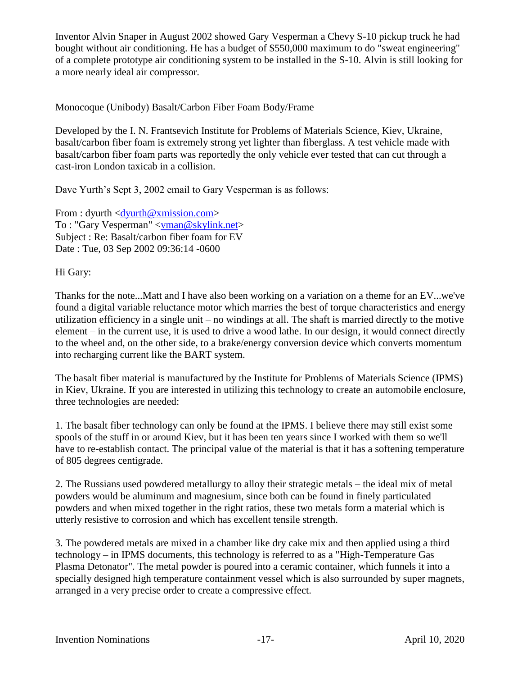Inventor Alvin Snaper in August 2002 showed Gary Vesperman a Chevy S-10 pickup truck he had bought without air conditioning. He has a budget of \$550,000 maximum to do "sweat engineering" of a complete prototype air conditioning system to be installed in the S-10. Alvin is still looking for a more nearly ideal air compressor.

## Monocoque (Unibody) Basalt/Carbon Fiber Foam Body/Frame

Developed by the I. N. Frantsevich Institute for Problems of Materials Science, Kiev, Ukraine, basalt/carbon fiber foam is extremely strong yet lighter than fiberglass. A test vehicle made with basalt/carbon fiber foam parts was reportedly the only vehicle ever tested that can cut through a cast-iron London taxicab in a collision.

Dave Yurth's Sept 3, 2002 email to Gary Vesperman is as follows:

From : dyurth  $\langle \text{d}\text{yurth}\ \text{w}\ \text{y}$  x mission.com > To : "Gary Vesperman" [<vman@skylink.net>](mailto:vman@skylink.net) Subject : Re: Basalt/carbon fiber foam for EV Date : Tue, 03 Sep 2002 09:36:14 -0600

## Hi Gary:

Thanks for the note...Matt and I have also been working on a variation on a theme for an EV...we've found a digital variable reluctance motor which marries the best of torque characteristics and energy utilization efficiency in a single unit – no windings at all. The shaft is married directly to the motive element – in the current use, it is used to drive a wood lathe. In our design, it would connect directly to the wheel and, on the other side, to a brake/energy conversion device which converts momentum into recharging current like the BART system.

The basalt fiber material is manufactured by the Institute for Problems of Materials Science (IPMS) in Kiev, Ukraine. If you are interested in utilizing this technology to create an automobile enclosure, three technologies are needed:

1. The basalt fiber technology can only be found at the IPMS. I believe there may still exist some spools of the stuff in or around Kiev, but it has been ten years since I worked with them so we'll have to re-establish contact. The principal value of the material is that it has a softening temperature of 805 degrees centigrade.

2. The Russians used powdered metallurgy to alloy their strategic metals – the ideal mix of metal powders would be aluminum and magnesium, since both can be found in finely particulated powders and when mixed together in the right ratios, these two metals form a material which is utterly resistive to corrosion and which has excellent tensile strength.

3. The powdered metals are mixed in a chamber like dry cake mix and then applied using a third technology – in IPMS documents, this technology is referred to as a "High-Temperature Gas Plasma Detonator". The metal powder is poured into a ceramic container, which funnels it into a specially designed high temperature containment vessel which is also surrounded by super magnets, arranged in a very precise order to create a compressive effect.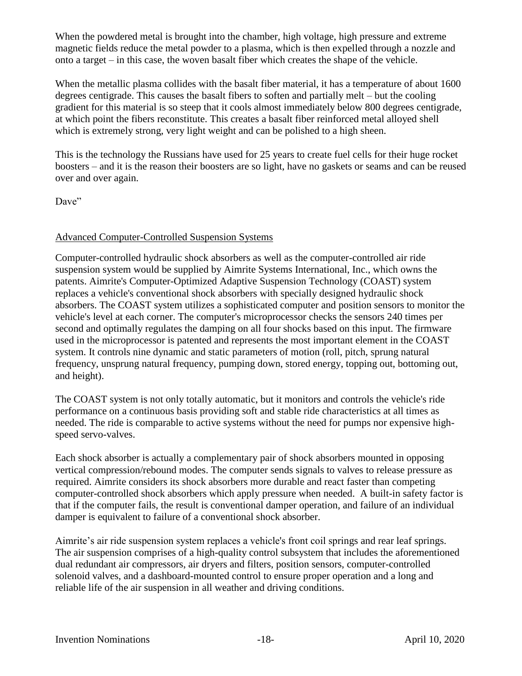When the powdered metal is brought into the chamber, high voltage, high pressure and extreme magnetic fields reduce the metal powder to a plasma, which is then expelled through a nozzle and onto a target – in this case, the woven basalt fiber which creates the shape of the vehicle.

When the metallic plasma collides with the basalt fiber material, it has a temperature of about 1600 degrees centigrade. This causes the basalt fibers to soften and partially melt – but the cooling gradient for this material is so steep that it cools almost immediately below 800 degrees centigrade, at which point the fibers reconstitute. This creates a basalt fiber reinforced metal alloyed shell which is extremely strong, very light weight and can be polished to a high sheen.

This is the technology the Russians have used for 25 years to create fuel cells for their huge rocket boosters – and it is the reason their boosters are so light, have no gaskets or seams and can be reused over and over again.

Dave"

## Advanced Computer-Controlled Suspension Systems

Computer-controlled hydraulic shock absorbers as well as the computer-controlled air ride suspension system would be supplied by Aimrite Systems International, Inc., which owns the patents. Aimrite's Computer-Optimized Adaptive Suspension Technology (COAST) system replaces a vehicle's conventional shock absorbers with specially designed hydraulic shock absorbers. The COAST system utilizes a sophisticated computer and position sensors to monitor the vehicle's level at each corner. The computer's microprocessor checks the sensors 240 times per second and optimally regulates the damping on all four shocks based on this input. The firmware used in the microprocessor is patented and represents the most important element in the COAST system. It controls nine dynamic and static parameters of motion (roll, pitch, sprung natural frequency, unsprung natural frequency, pumping down, stored energy, topping out, bottoming out, and height).

The COAST system is not only totally automatic, but it monitors and controls the vehicle's ride performance on a continuous basis providing soft and stable ride characteristics at all times as needed. The ride is comparable to active systems without the need for pumps nor expensive highspeed servo-valves.

Each shock absorber is actually a complementary pair of shock absorbers mounted in opposing vertical compression/rebound modes. The computer sends signals to valves to release pressure as required. Aimrite considers its shock absorbers more durable and react faster than competing computer-controlled shock absorbers which apply pressure when needed. A built-in safety factor is that if the computer fails, the result is conventional damper operation, and failure of an individual damper is equivalent to failure of a conventional shock absorber.

Aimrite's air ride suspension system replaces a vehicle's front coil springs and rear leaf springs. The air suspension comprises of a high-quality control subsystem that includes the aforementioned dual redundant air compressors, air dryers and filters, position sensors, computer-controlled solenoid valves, and a dashboard-mounted control to ensure proper operation and a long and reliable life of the air suspension in all weather and driving conditions.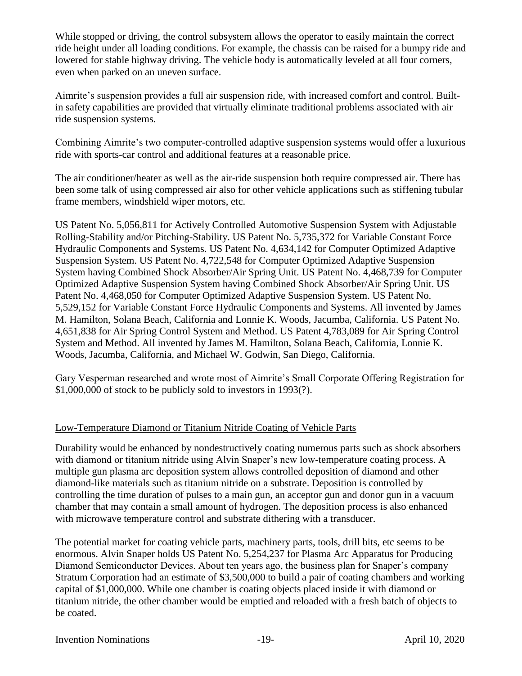While stopped or driving, the control subsystem allows the operator to easily maintain the correct ride height under all loading conditions. For example, the chassis can be raised for a bumpy ride and lowered for stable highway driving. The vehicle body is automatically leveled at all four corners, even when parked on an uneven surface.

Aimrite's suspension provides a full air suspension ride, with increased comfort and control. Builtin safety capabilities are provided that virtually eliminate traditional problems associated with air ride suspension systems.

Combining Aimrite's two computer-controlled adaptive suspension systems would offer a luxurious ride with sports-car control and additional features at a reasonable price.

The air conditioner/heater as well as the air-ride suspension both require compressed air. There has been some talk of using compressed air also for other vehicle applications such as stiffening tubular frame members, windshield wiper motors, etc.

US Patent No. 5,056,811 for Actively Controlled Automotive Suspension System with Adjustable Rolling-Stability and/or Pitching-Stability. US Patent No. 5,735,372 for Variable Constant Force Hydraulic Components and Systems. US Patent No. 4,634,142 for Computer Optimized Adaptive Suspension System. US Patent No. 4,722,548 for Computer Optimized Adaptive Suspension System having Combined Shock Absorber/Air Spring Unit. US Patent No. 4,468,739 for Computer Optimized Adaptive Suspension System having Combined Shock Absorber/Air Spring Unit. US Patent No. 4,468,050 for Computer Optimized Adaptive Suspension System. US Patent No. 5,529,152 for Variable Constant Force Hydraulic Components and Systems. All invented by James M. Hamilton, Solana Beach, California and Lonnie K. Woods, Jacumba, California. US Patent No. 4,651,838 for Air Spring Control System and Method. US Patent 4,783,089 for Air Spring Control System and Method. All invented by James M. Hamilton, Solana Beach, California, Lonnie K. Woods, Jacumba, California, and Michael W. Godwin, San Diego, California.

Gary Vesperman researched and wrote most of Aimrite's Small Corporate Offering Registration for \$1,000,000 of stock to be publicly sold to investors in 1993(?).

## Low-Temperature Diamond or Titanium Nitride Coating of Vehicle Parts

Durability would be enhanced by nondestructively coating numerous parts such as shock absorbers with diamond or titanium nitride using Alvin Snaper's new low-temperature coating process. A multiple gun plasma arc deposition system allows controlled deposition of diamond and other diamond-like materials such as titanium nitride on a substrate. Deposition is controlled by controlling the time duration of pulses to a main gun, an acceptor gun and donor gun in a vacuum chamber that may contain a small amount of hydrogen. The deposition process is also enhanced with microwave temperature control and substrate dithering with a transducer.

The potential market for coating vehicle parts, machinery parts, tools, drill bits, etc seems to be enormous. Alvin Snaper holds US Patent No. 5,254,237 for Plasma Arc Apparatus for Producing Diamond Semiconductor Devices. About ten years ago, the business plan for Snaper's company Stratum Corporation had an estimate of \$3,500,000 to build a pair of coating chambers and working capital of \$1,000,000. While one chamber is coating objects placed inside it with diamond or titanium nitride, the other chamber would be emptied and reloaded with a fresh batch of objects to be coated.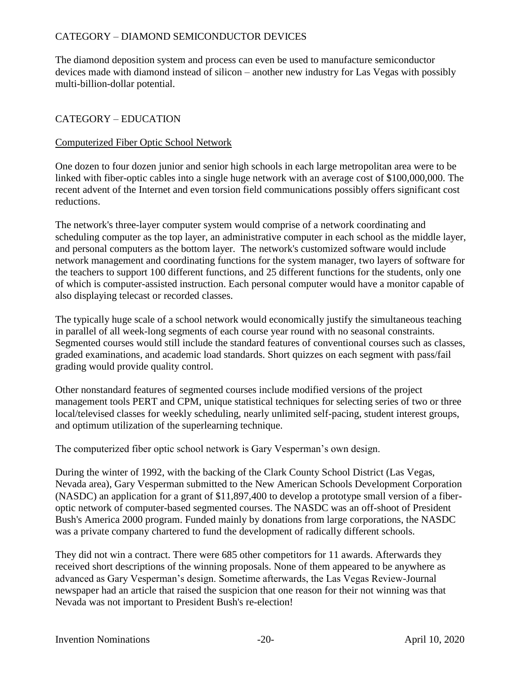## CATEGORY – DIAMOND SEMICONDUCTOR DEVICES

The diamond deposition system and process can even be used to manufacture semiconductor devices made with diamond instead of silicon – another new industry for Las Vegas with possibly multi-billion-dollar potential.

#### CATEGORY – EDUCATION

#### Computerized Fiber Optic School Network

One dozen to four dozen junior and senior high schools in each large metropolitan area were to be linked with fiber-optic cables into a single huge network with an average cost of \$100,000,000. The recent advent of the Internet and even torsion field communications possibly offers significant cost reductions.

The network's three-layer computer system would comprise of a network coordinating and scheduling computer as the top layer, an administrative computer in each school as the middle layer, and personal computers as the bottom layer. The network's customized software would include network management and coordinating functions for the system manager, two layers of software for the teachers to support 100 different functions, and 25 different functions for the students, only one of which is computer-assisted instruction. Each personal computer would have a monitor capable of also displaying telecast or recorded classes.

The typically huge scale of a school network would economically justify the simultaneous teaching in parallel of all week-long segments of each course year round with no seasonal constraints. Segmented courses would still include the standard features of conventional courses such as classes, graded examinations, and academic load standards. Short quizzes on each segment with pass/fail grading would provide quality control.

Other nonstandard features of segmented courses include modified versions of the project management tools PERT and CPM, unique statistical techniques for selecting series of two or three local/televised classes for weekly scheduling, nearly unlimited self-pacing, student interest groups, and optimum utilization of the superlearning technique.

The computerized fiber optic school network is Gary Vesperman's own design.

During the winter of 1992, with the backing of the Clark County School District (Las Vegas, Nevada area), Gary Vesperman submitted to the New American Schools Development Corporation (NASDC) an application for a grant of \$11,897,400 to develop a prototype small version of a fiberoptic network of computer-based segmented courses. The NASDC was an off-shoot of President Bush's America 2000 program. Funded mainly by donations from large corporations, the NASDC was a private company chartered to fund the development of radically different schools.

They did not win a contract. There were 685 other competitors for 11 awards. Afterwards they received short descriptions of the winning proposals. None of them appeared to be anywhere as advanced as Gary Vesperman's design. Sometime afterwards, the Las Vegas Review-Journal newspaper had an article that raised the suspicion that one reason for their not winning was that Nevada was not important to President Bush's re-election!